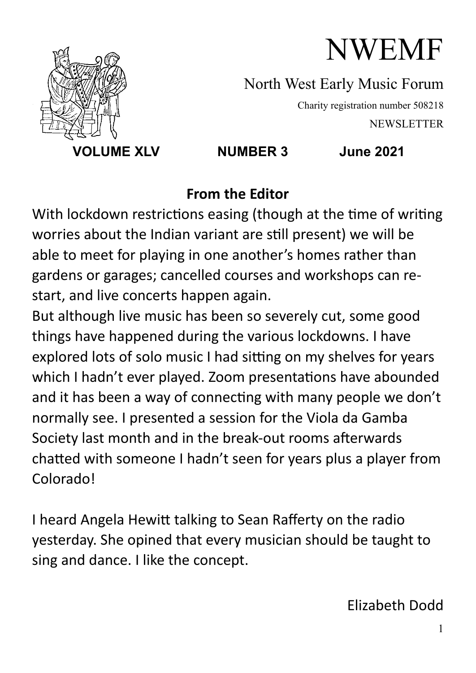

North West Early Music Forum

Charity registration number 508218 NEWSLETTER

 **VOLUME XLV NUMBER 3 June 2021** 

#### **From the Editor**

With lockdown restrictions easing (though at the time of writing worries about the Indian variant are still present) we will be able to meet for playing in one another's homes rather than gardens or garages; cancelled courses and workshops can restart, and live concerts happen again.

But although live music has been so severely cut, some good things have happened during the various lockdowns. I have explored lots of solo music I had sitting on my shelves for years which I hadn't ever played. Zoom presentations have abounded and it has been a way of connecting with many people we don't normally see. I presented a session for the Viola da Gamba Society last month and in the break-out rooms afterwards chatted with someone I hadn't seen for years plus a player from Colorado!

I heard Angela Hewitt talking to Sean Rafferty on the radio yesterday. She opined that every musician should be taught to sing and dance. I like the concept.

Elizabeth Dodd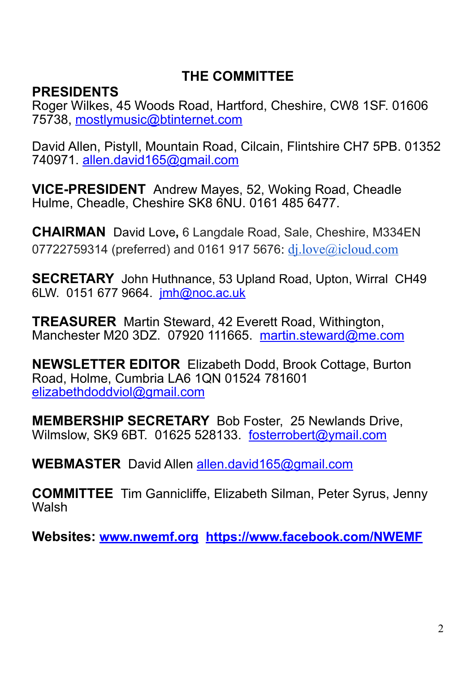#### **THE COMMITTEE**

#### **PRESIDENTS**

Roger Wilkes, 45 Woods Road, Hartford, Cheshire, CW8 1SF. 01606 75738, [mostlymusic@btinternet.com](mailto:mostlymusic@btinternet.com) 

David Allen, Pistyll, Mountain Road, Cilcain, Flintshire CH7 5PB. 01352 740971. [allen.david165@gmail.com](mailto:allen.david165@gmail.com)

**VICE-PRESIDENT** Andrew Mayes, 52, Woking Road, Cheadle Hulme, Cheadle, Cheshire SK8 6NU. 0161 485 6477.

**CHAIRMAN** David Love**,** 6 Langdale Road, Sale, Cheshire, M334EN 07722759314 (preferred) and 0161 917 5676: [dj.love@icloud.com](mailto:dj.love@icloud.com)

**SECRETARY** John Huthnance, 53 Upland Road, Upton, Wirral CH49 6LW. 0151 677 9664. [jmh@noc.ac.uk](mailto:jmh@noc.ac.uk)

**TREASURER** Martin Steward, 42 Everett Road, Withington, Manchester M20 3DZ. 07920 111665. martin.steward@me.com

**NEWSLETTER EDITOR** Elizabeth Dodd, Brook Cottage, Burton Road, Holme, Cumbria LA6 1QN 01524 781601 [elizabethdoddviol@gmail.com](mailto:elizabethdoddviol@gmail.com)

**MEMBERSHIP SECRETARY** Bob Foster,25 Newlands Drive, Wilmslow, SK9 6BT. 01625 528133. [fosterrobert@ymail.com](mailto:fosterrobert@ymail.com)

**WEBMASTER** David Allen [allen.david165@gmail.com](mailto:allen.david165@gmail.com)

**COMMITTEE** Tim Gannicliffe, Elizabeth Silman, Peter Syrus, Jenny **Walsh** 

**Websites: [www.nwemf.org](http://www.nwemf.org) <https://www.facebook.com/NWEMF>**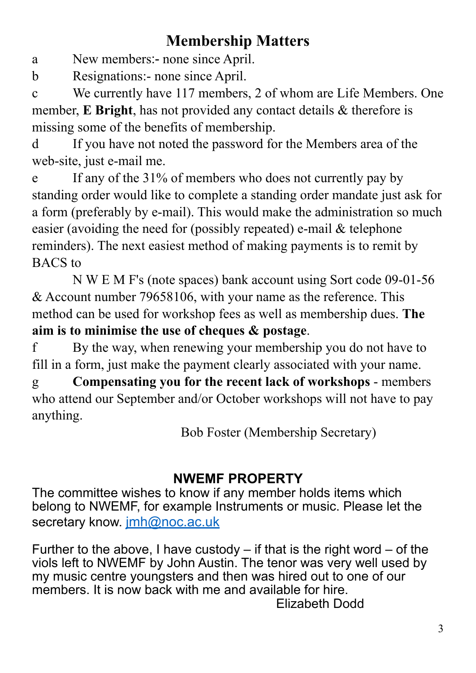# **Membership Matters**

a New members:- none since April.

b Resignations:- none since April.

c We currently have 117 members, 2 of whom are Life Members. One member, **E Bright**, has not provided any contact details & therefore is missing some of the benefits of membership.

d If you have not noted the password for the Members area of the web-site, just e-mail me.

e If any of the 31% of members who does not currently pay by standing order would like to complete a standing order mandate just ask for a form (preferably by e-mail). This would make the administration so much easier (avoiding the need for (possibly repeated) e-mail & telephone reminders). The next easiest method of making payments is to remit by BACS to

 N W E M F's (note spaces) bank account using Sort code 09-01-56 & Account number 79658106, with your name as the reference. This method can be used for workshop fees as well as membership dues. **The aim is to minimise the use of cheques & postage**.

f By the way, when renewing your membership you do not have to fill in a form, just make the payment clearly associated with your name.

g **Compensating you for the recent lack of workshops** - members who attend our September and/or October workshops will not have to pay anything.

Bob Foster (Membership Secretary)

## **NWEMF PROPERTY**

The committee wishes to know if any member holds items which belong to NWEMF, for example Instruments or music. Please let the secretary know. [jmh@noc.ac.uk](mailto:jmh@noc.ac.uk)

Further to the above, I have custody  $-$  if that is the right word  $-$  of the viols left to NWEMF by John Austin. The tenor was very well used by my music centre youngsters and then was hired out to one of our members. It is now back with me and available for hire. Elizabeth Dodd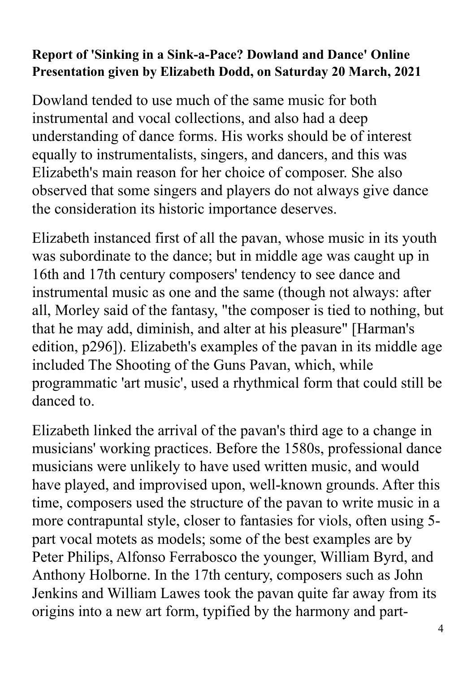#### **Report of 'Sinking in a Sink-a-Pace? Dowland and Dance' Online Presentation given by Elizabeth Dodd, on Saturday 20 March, 2021**

Dowland tended to use much of the same music for both instrumental and vocal collections, and also had a deep understanding of dance forms. His works should be of interest equally to instrumentalists, singers, and dancers, and this was Elizabeth's main reason for her choice of composer. She also observed that some singers and players do not always give dance the consideration its historic importance deserves.

Elizabeth instanced first of all the pavan, whose music in its youth was subordinate to the dance; but in middle age was caught up in 16th and 17th century composers' tendency to see dance and instrumental music as one and the same (though not always: after all, Morley said of the fantasy, "the composer is tied to nothing, but that he may add, diminish, and alter at his pleasure" [Harman's edition, p296]). Elizabeth's examples of the pavan in its middle age included The Shooting of the Guns Pavan, which, while programmatic 'art music', used a rhythmical form that could still be danced to.

Elizabeth linked the arrival of the pavan's third age to a change in musicians' working practices. Before the 1580s, professional dance musicians were unlikely to have used written music, and would have played, and improvised upon, well-known grounds. After this time, composers used the structure of the pavan to write music in a more contrapuntal style, closer to fantasies for viols, often using 5 part vocal motets as models; some of the best examples are by Peter Philips, Alfonso Ferrabosco the younger, William Byrd, and Anthony Holborne. In the 17th century, composers such as John Jenkins and William Lawes took the pavan quite far away from its origins into a new art form, typified by the harmony and part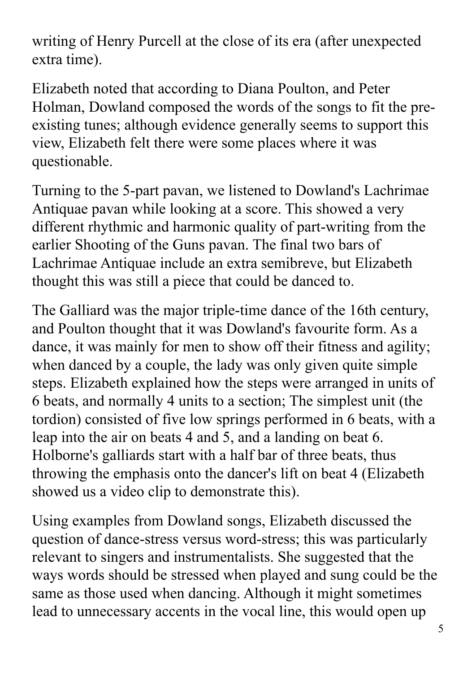writing of Henry Purcell at the close of its era (after unexpected extra time).

Elizabeth noted that according to Diana Poulton, and Peter Holman, Dowland composed the words of the songs to fit the preexisting tunes; although evidence generally seems to support this view, Elizabeth felt there were some places where it was questionable.

Turning to the 5-part pavan, we listened to Dowland's Lachrimae Antiquae pavan while looking at a score. This showed a very different rhythmic and harmonic quality of part-writing from the earlier Shooting of the Guns pavan. The final two bars of Lachrimae Antiquae include an extra semibreve, but Elizabeth thought this was still a piece that could be danced to.

The Galliard was the major triple-time dance of the 16th century, and Poulton thought that it was Dowland's favourite form. As a dance, it was mainly for men to show off their fitness and agility; when danced by a couple, the lady was only given quite simple steps. Elizabeth explained how the steps were arranged in units of 6 beats, and normally 4 units to a section; The simplest unit (the tordion) consisted of five low springs performed in 6 beats, with a leap into the air on beats 4 and 5, and a landing on beat 6. Holborne's galliards start with a half bar of three beats, thus throwing the emphasis onto the dancer's lift on beat 4 (Elizabeth showed us a video clip to demonstrate this).

Using examples from Dowland songs, Elizabeth discussed the question of dance-stress versus word-stress; this was particularly relevant to singers and instrumentalists. She suggested that the ways words should be stressed when played and sung could be the same as those used when dancing. Although it might sometimes lead to unnecessary accents in the vocal line, this would open up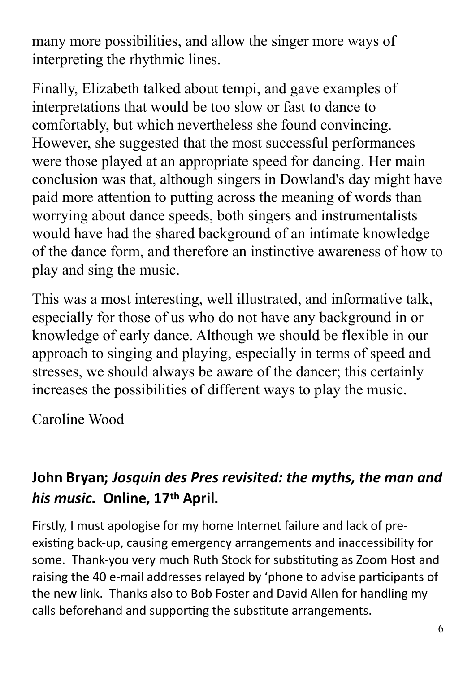many more possibilities, and allow the singer more ways of interpreting the rhythmic lines.

Finally, Elizabeth talked about tempi, and gave examples of interpretations that would be too slow or fast to dance to comfortably, but which nevertheless she found convincing. However, she suggested that the most successful performances were those played at an appropriate speed for dancing. Her main conclusion was that, although singers in Dowland's day might have paid more attention to putting across the meaning of words than worrying about dance speeds, both singers and instrumentalists would have had the shared background of an intimate knowledge of the dance form, and therefore an instinctive awareness of how to play and sing the music.

This was a most interesting, well illustrated, and informative talk, especially for those of us who do not have any background in or knowledge of early dance. Although we should be flexible in our approach to singing and playing, especially in terms of speed and stresses, we should always be aware of the dancer; this certainly increases the possibilities of different ways to play the music.

Caroline Wood

# **John Bryan;** *Josquin des Pres revisited: the myths, the man and his music***. Online, 17th April.**

Firstly, I must apologise for my home Internet failure and lack of preexisting back-up, causing emergency arrangements and inaccessibility for some. Thank-you very much Ruth Stock for substituting as Zoom Host and raising the 40 e-mail addresses relayed by 'phone to advise participants of the new link. Thanks also to Bob Foster and David Allen for handling my calls beforehand and supporting the substitute arrangements.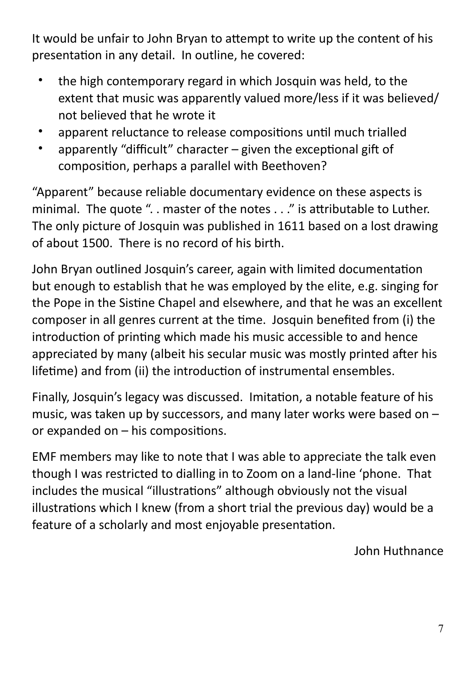It would be unfair to John Bryan to attempt to write up the content of his presentation in any detail. In outline, he covered:

- the high contemporary regard in which Josquin was held, to the extent that music was apparently valued more/less if it was believed/ not believed that he wrote it
- apparent reluctance to release compositions until much trialled
- apparently "difficult" character  $-$  given the exceptional gift of composition, perhaps a parallel with Beethoven?

"Apparent" because reliable documentary evidence on these aspects is minimal. The quote ".. master of the notes . . ." is attributable to Luther. The only picture of Josquin was published in 1611 based on a lost drawing of about 1500. There is no record of his birth.

John Bryan outlined Josquin's career, again with limited documentation but enough to establish that he was employed by the elite, e.g. singing for the Pope in the Sistine Chapel and elsewhere, and that he was an excellent composer in all genres current at the time. Josquin benefited from (i) the introduction of printing which made his music accessible to and hence appreciated by many (albeit his secular music was mostly printed after his lifetime) and from (ii) the introduction of instrumental ensembles.

Finally, Josquin's legacy was discussed. Imitation, a notable feature of his music, was taken up by successors, and many later works were based on – or expanded on  $-$  his compositions.

EMF members may like to note that I was able to appreciate the talk even though I was restricted to dialling in to Zoom on a land-line 'phone. That includes the musical "illustrations" although obviously not the visual illustrations which I knew (from a short trial the previous day) would be a feature of a scholarly and most enjoyable presentation.

John Huthnance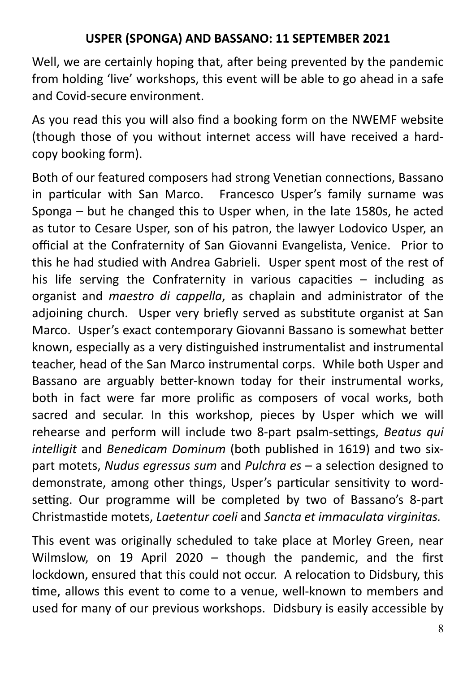#### **USPER (SPONGA) AND BASSANO: 11 SEPTEMBER 2021**

Well, we are certainly hoping that, after being prevented by the pandemic from holding 'live' workshops, this event will be able to go ahead in a safe and Covid-secure environment.

As you read this you will also find a booking form on the NWEMF website (though those of you without internet access will have received a hardcopy booking form).

Both of our featured composers had strong Venetian connections, Bassano in particular with San Marco. Francesco Usper's family surname was Sponga – but he changed this to Usper when, in the late 1580s, he acted as tutor to Cesare Usper, son of his patron, the lawyer Lodovico Usper, an official at the Confraternity of San Giovanni Evangelista, Venice. Prior to this he had studied with Andrea Gabrieli. Usper spent most of the rest of his life serving the Confraternity in various capacities  $-$  including as organist and *maestro di cappella*, as chaplain and administrator of the adjoining church. Usper very briefly served as substitute organist at San Marco. Usper's exact contemporary Giovanni Bassano is somewhat better known, especially as a very distinguished instrumentalist and instrumental teacher, head of the San Marco instrumental corps. While both Usper and Bassano are arguably better-known today for their instrumental works, both in fact were far more prolific as composers of vocal works, both sacred and secular. In this workshop, pieces by Usper which we will rehearse and perform will include two 8-part psalm-settings, *Beatus qui intelligit* and *Benedicam Dominum* (both published in 1619) and two sixpart motets, *Nudus egressus sum* and *Pulchra es* – a selection designed to demonstrate, among other things, Usper's particular sensitivity to wordsetting. Our programme will be completed by two of Bassano's 8-part Christmas0de motets, *Laetentur coeli* and *Sancta et immaculata virginitas.*

This event was originally scheduled to take place at Morley Green, near Wilmslow, on 19 April 2020 – though the pandemic, and the first lockdown, ensured that this could not occur. A relocation to Didsbury, this time, allows this event to come to a venue, well-known to members and used for many of our previous workshops. Didsbury is easily accessible by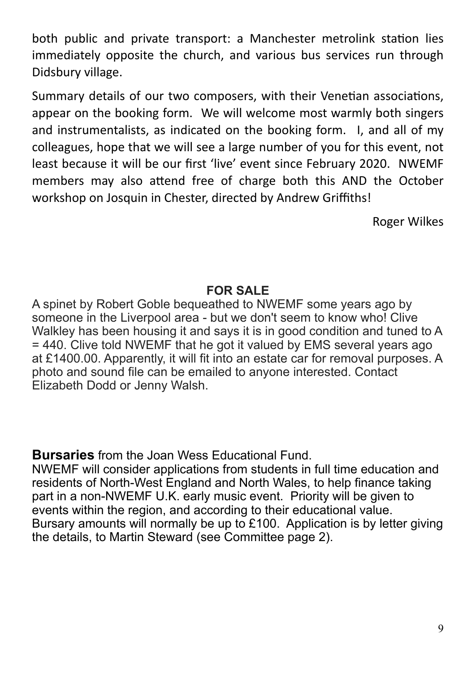both public and private transport: a Manchester metrolink station lies immediately opposite the church, and various bus services run through Didsbury village.

Summary details of our two composers, with their Venetian associations, appear on the booking form. We will welcome most warmly both singers and instrumentalists, as indicated on the booking form. I, and all of my colleagues, hope that we will see a large number of you for this event, not least because it will be our first 'live' event since February 2020. NWEMF members may also attend free of charge both this AND the October workshop on Josquin in Chester, directed by Andrew Griffiths!

Roger Wilkes

#### **FOR SALE**

A spinet by Robert Goble bequeathed to NWEMF some years ago by someone in the Liverpool area - but we don't seem to know who! Clive Walkley has been housing it and says it is in good condition and tuned to A = 440. Clive told NWEMF that he got it valued by EMS several years ago at £1400.00. Apparently, it will fit into an estate car for removal purposes. A photo and sound file can be emailed to anyone interested. Contact Elizabeth Dodd or Jenny Walsh.

**Bursaries** from the Joan Wess Educational Fund.

NWEMF will consider applications from students in full time education and residents of North-West England and North Wales, to help finance taking part in a non-NWEMF U.K. early music event. Priority will be given to events within the region, and according to their educational value. Bursary amounts will normally be up to £100. Application is by letter giving the details, to Martin Steward (see Committee page 2).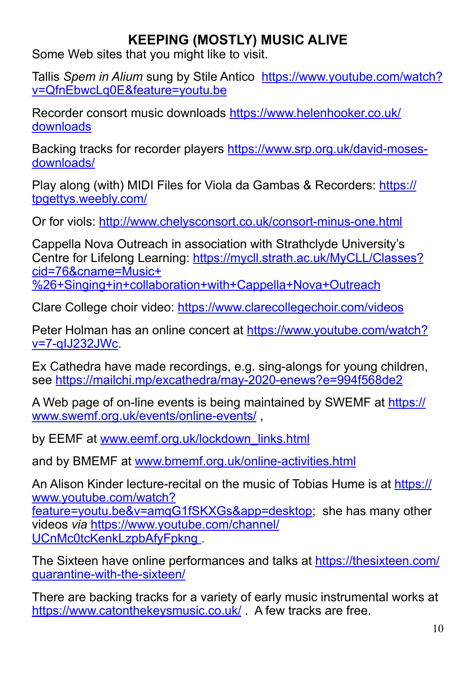## **KEEPING (MOSTLY) MUSIC ALIVE**

Some Web sites that you might like to visit.

Tallis *Spem in Alium* sung by Stile Antico [https://www.youtube.com/watch?](https://www.youtube.com/watch?v=QfnEbwcLq0E&feature=youtu.be) [v=QfnEbwcLq0E&feature=youtu.be](https://www.youtube.com/watch?v=QfnEbwcLq0E&feature=youtu.be) 

Recorder consort music downloads [https://www.helenhooker.co.uk/](https://www.helenhooker.co.uk/downloads) [downloads](https://www.helenhooker.co.uk/downloads) 

Backing tracks for recorder players [https://www.srp.org.uk/david-moses](https://www.srp.org.uk/david-moses-downloads/)[downloads/](https://www.srp.org.uk/david-moses-downloads/) 

Play along (with) MIDI Files for Viola da Gambas & Recorders: [https://](https://tpgettys.weebly.com/) [tpgettys.weebly.com/](https://tpgettys.weebly.com/)

Or for viols: <http://www.chelysconsort.co.uk/consort-minus-one.html>

Cappella Nova Outreach in association with Strathclyde University's Centre for Lifelong Learning: [https://mycll.strath.ac.uk/MyCLL/Classes?](https://mycll.strath.ac.uk/MyCLL/Classes?cid=76&cname=Music+%2526+Singing+in+collaboration+with+Cappella+Nova+Outreach) [cid=76&cname=Music+](https://mycll.strath.ac.uk/MyCLL/Classes?cid=76&cname=Music+%2526+Singing+in+collaboration+with+Cappella+Nova+Outreach) %26+Singing+in+collaboration+with+Cappella+Nova+Outreach

Clare College choir video:<https://www.clarecollegechoir.com/videos>

Peter Holman has an online concert at [https://www.youtube.com/watch?](https://www.youtube.com/watch?v=7-qIJ232JWc) [v=7-qIJ232JWc](https://www.youtube.com/watch?v=7-qIJ232JWc).

Ex Cathedra have made recordings, e.g. sing-alongs for young children, see<https://mailchi.mp/excathedra/may-2020-enews?e=994f568de2>

A Web page of on-line events is being maintained by SWEMF at [https://](https://www.swemf.org.uk/events/online-events/) [www.swemf.org.uk/events/online-events/](https://www.swemf.org.uk/events/online-events/) ,

by EEMF at [www.eemf.org.uk/lockdown\\_links.html](http://www.eemf.org.uk/lockdown_links.html)

and by BMEMF at [www.bmemf.org.uk/online-activities.html](http://www.bmemf.org.uk/online-activities.html)

An Alison Kinder lecture-recital on the music of Tobias Hume is at [https://](https://www.youtube.com/watch?feature=youtu.be&v=amqG1fSKXGs&app=desktop) [www.youtube.com/watch?](https://www.youtube.com/watch?feature=youtu.be&v=amqG1fSKXGs&app=desktop) [feature=youtu.be&v=amqG1fSKXGs&app=desktop](https://www.youtube.com/watch?feature=youtu.be&v=amqG1fSKXGs&app=desktop); she has many other videos *via* [https://www.youtube.com/channel/](https://www.youtube.com/channel/UCnMc0tcKenkLzpbAfyFpkng) UCnMc0tcKenkLzpbAfyFpkng.

The Sixteen have online performances and talks at [https://thesixteen.com/](https://thesixteen.com/quarantine-with-the-sixteen/) [quarantine-with-the-sixteen/](https://thesixteen.com/quarantine-with-the-sixteen/)

There are backing tracks for a variety of early music instrumental works at <https://www.catonthekeysmusic.co.uk/>. A few tracks are free.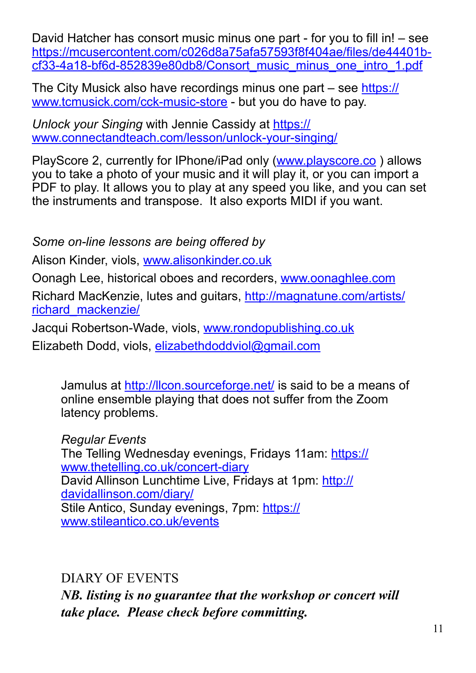David Hatcher has consort music minus one part - for you to fill in! – see [https://mcusercontent.com/c026d8a75afa57593f8f404ae/files/de44401b](https://mcusercontent.com/c026d8a75afa57593f8f404ae/files/de44401b-cf33-4a18-bf6d-852839e80db8/Consort_music_minus_one_intro_1.pdf)[cf33-4a18-bf6d-852839e80db8/Consort\\_music\\_minus\\_one\\_intro\\_1.pdf](https://mcusercontent.com/c026d8a75afa57593f8f404ae/files/de44401b-cf33-4a18-bf6d-852839e80db8/Consort_music_minus_one_intro_1.pdf) 

The City Musick also have recordings minus one part – see [https://](https://www.tcmusick.com/cck-music-store) [www.tcmusick.com/cck-music-store](https://www.tcmusick.com/cck-music-store) - but you do have to pay.

*Unlock your Singing* with Jennie Cassidy at [https://](https://www.connectandteach.com/lesson/unlock-your-singing/) [www.connectandteach.com/lesson/unlock-your-singing/](https://www.connectandteach.com/lesson/unlock-your-singing/)

PlayScore 2, currently for IPhone/iPad only ([www.playscore.co](http://www.playscore.co) ) allows you to take a photo of your music and it will play it, or you can import a PDF to play. It allows you to play at any speed you like, and you can set the instruments and transpose. It also exports MIDI if you want.

*Some on-line lessons are being offered by* 

Alison Kinder, viols, [www.alisonkinder.co.uk](http://www.alisonkinder.co.uk)

Oonagh Lee, historical oboes and recorders, [www.oonaghlee.com](http://www.oonaghlee.com) 

Richard MacKenzie, lutes and guitars, [http://magnatune.com/artists/](http://magnatune.com/artists/richard_mackenzie/) [richard\\_mackenzie/](http://magnatune.com/artists/richard_mackenzie/) 

Jacqui Robertson-Wade, viols, [www.rondopublishing.co.uk](http://www.rondopublishing.co.uk) Elizabeth Dodd, viols, [elizabethdoddviol@gmail.com](mailto:elizabethdoddviol@gmail.com)

Jamulus at<http://llcon.sourceforge.net/>is said to be a means of online ensemble playing that does not suffer from the Zoom latency problems.

*Regular Events*  The Telling Wednesday evenings, Fridays 11am: [https://](https://www.thetelling.co.uk/concert-diary) [www.thetelling.co.uk/concert-diary](https://www.thetelling.co.uk/concert-diary) David Allinson Lunchtime Live, Fridays at 1pm: [http://](http://davidallinson.com/diary/) [davidallinson.com/diary/](http://davidallinson.com/diary/) Stile Antico, Sunday evenings, 7pm: [https://](https://www.stileantico.co.uk/events) [www.stileantico.co.uk/events](https://www.stileantico.co.uk/events)

DIARY OF EVENTS

*NB. listing is no guarantee that the workshop or concert will take place. Please check before committing.*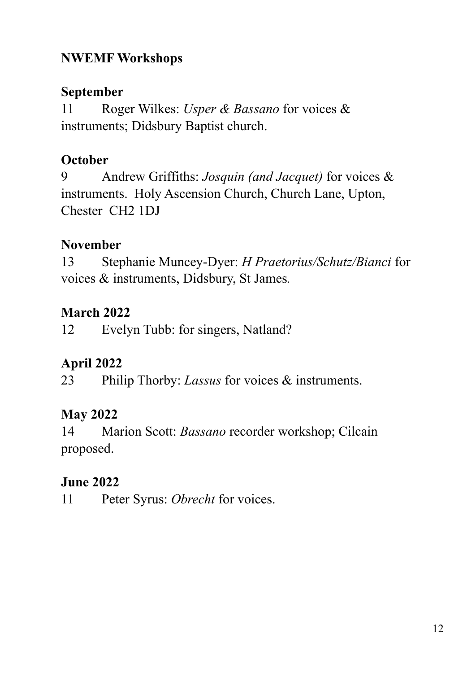#### **NWEMF Workshops**

#### **September**

11 Roger Wilkes: *Usper & Bassano* for voices & instruments; Didsbury Baptist church.

## **October**

9 Andrew Griffiths: *Josquin (and Jacquet)* for voices & instruments. Holy Ascension Church, Church Lane, Upton, Chester CH2 1DJ

#### **November**

13 Stephanie Muncey-Dyer: *H Praetorius/Schutz/Bianci* for voices & instruments, Didsbury, St James*.*

## **March 2022**

12 Evelyn Tubb: for singers, Natland?

## **April 2022**

23 Philip Thorby: *Lassus* for voices & instruments.

## **May 2022**

14 Marion Scott: *Bassano* recorder workshop; Cilcain proposed.

## **June 2022**

11 Peter Syrus: *Obrecht* for voices.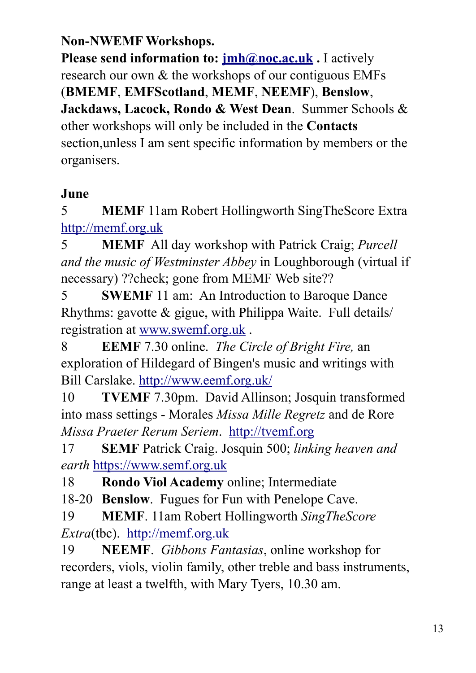#### **Non-NWEMF Workshops.**

**Please send information to:**  $\imath \text{imh@noc.ac.uk}$ **. I actively** research our own & the workshops of our contiguous EMFs (**BMEMF**, **EMFScotland**, **MEMF**, **NEEMF**), **Benslow**, **Jackdaws, Lacock, Rondo & West Dean**. Summer Schools & other workshops will only be included in the **Contacts**  section,unless I am sent specific information by members or the organisers.

#### **June**

5 **MEMF** 11am Robert Hollingworth SingTheScore Extra <http://memf.org.uk>

5 **MEMF** All day workshop with Patrick Craig; *Purcell and the music of Westminster Abbey* in Loughborough (virtual if necessary) ??check; gone from MEMF Web site??

5 **SWEMF** 11 am: An Introduction to Baroque Dance Rhythms: gavotte & gigue, with Philippa Waite. Full details/ registration at [www.swemf.org.uk](http://www.swemf.org.uk) .

8 **EEMF** 7.30 online. *The Circle of Bright Fire,* an exploration of Hildegard of Bingen's music and writings with Bill Carslake. <http://www.eemf.org.uk/>

10 **TVEMF** 7.30pm. David Allinson; Josquin transformed into mass settings - Morales *Missa Mille Regretz* and de Rore *Missa Praeter Rerum Seriem*. <http://tvemf.org>

17 **SEMF** Patrick Craig. Josquin 500; *linking heaven and earth* <https://www.semf.org.uk>

18 **Rondo Viol Academy** online; Intermediate

18-20 **Benslow**. Fugues for Fun with Penelope Cave.

19 **MEMF**. 11am Robert Hollingworth *SingTheScore Extra*(tbc). <http://memf.org.uk>

19 **NEEMF**. *Gibbons Fantasias*, online workshop for recorders, viols, violin family, other treble and bass instruments, range at least a twelfth, with Mary Tyers, 10.30 am.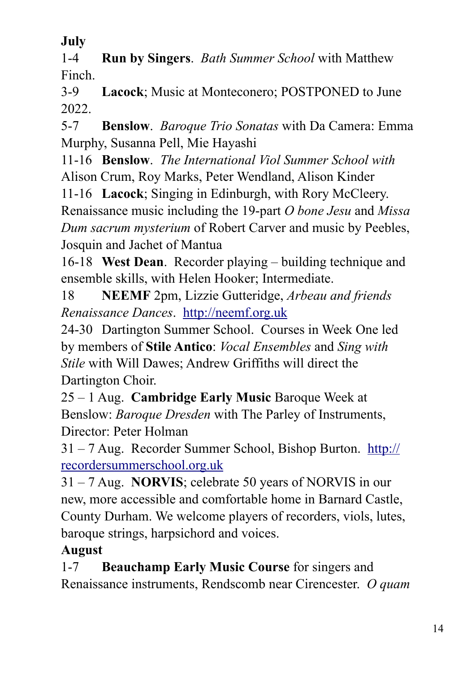**July**

1-4 **Run by Singers**. *Bath Summer School* with Matthew Finch.

3-9 **Lacock**; Music at Monteconero; POSTPONED to June 2022.

5-7 **Benslow**. *Baroque Trio Sonatas* with Da Camera: Emma Murphy, Susanna Pell, Mie Hayashi

11-16 **Benslow**. *The International Viol Summer School with* Alison Crum, Roy Marks, Peter Wendland, Alison Kinder

11-16 **Lacock**; Singing in Edinburgh, with Rory McCleery. Renaissance music including the 19-part *O bone Jesu* and *Missa Dum sacrum mysterium* of Robert Carver and music by Peebles, Josquin and Jachet of Mantua

16-18 **West Dean**. Recorder playing – building technique and ensemble skills, with Helen Hooker; Intermediate.

18 **NEEMF** 2pm, Lizzie Gutteridge, *Arbeau and friends Renaissance Dances*. <http://neemf.org.uk>

24-30 Dartington Summer School. Courses in Week One led by members of **Stile Antico**: *Vocal Ensembles* and *Sing with Stile* with Will Dawes; Andrew Griffiths will direct the Dartington Choir.

25 – 1 Aug. **Cambridge Early Music** Baroque Week at Benslow: *Baroque Dresden* with The Parley of Instruments, Director: Peter Holman

31 – 7 Aug. Recorder Summer School, Bishop Burton. [http://](http://recordersummerschool.org.uk) [recordersummerschool.org.uk](http://recordersummerschool.org.uk)

31 – 7 Aug. **NORVIS**; celebrate 50 years of NORVIS in our new, more accessible and comfortable home in Barnard Castle, County Durham. We welcome players of recorders, viols, lutes, baroque strings, harpsichord and voices.

## **August**

1-7 **Beauchamp Early Music Course** for singers and Renaissance instruments, Rendscomb near Cirencester. *O quam*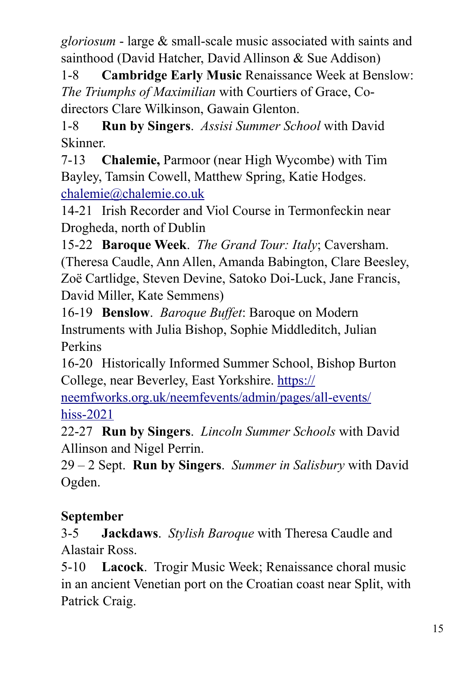*gloriosum* - large & small-scale music associated with saints and sainthood (David Hatcher, David Allinson & Sue Addison)

1-8 **Cambridge Early Music** Renaissance Week at Benslow: *The Triumphs of Maximilian* with Courtiers of Grace, Codirectors Clare Wilkinson, Gawain Glenton.

1-8 **Run by Singers**. *Assisi Summer School* with David Skinner.

7-13 **Chalemie,** Parmoor (near High Wycombe) with Tim Bayley, Tamsin Cowell, Matthew Spring, Katie Hodges. [chalemie@chalemie.co.uk](mailto:chalemie@chalemie.co.uk) 

14-21 Irish Recorder and Viol Course in Termonfeckin near Drogheda, north of Dublin

15-22 **Baroque Week**. *The Grand Tour: Italy*; Caversham. (Theresa Caudle, Ann Allen, Amanda Babington, Clare Beesley, Zoë Cartlidge, Steven Devine, Satoko Doi-Luck, Jane Francis, David Miller, Kate Semmens)

16-19 **Benslow**. *Baroque Buffet*: Baroque on Modern Instruments with Julia Bishop, Sophie Middleditch, Julian Perkins

16-20 Historically Informed Summer School, Bishop Burton College, near Beverley, East Yorkshire. [https://](https://neemfworks.org.uk/neemfevents/admin/pages/all-events/hiss-2021)

[neemfworks.org.uk/neemfevents/admin/pages/all-events/](https://neemfworks.org.uk/neemfevents/admin/pages/all-events/hiss-2021) [hiss-2021](https://neemfworks.org.uk/neemfevents/admin/pages/all-events/hiss-2021) 

22-27 **Run by Singers**. *Lincoln Summer Schools* with David Allinson and Nigel Perrin.

29 – 2 Sept. **Run by Singers**. *Summer in Salisbury* with David Ogden.

# **September**

3-5 **Jackdaws**. *Stylish Baroque* with Theresa Caudle and Alastair Ross.

5-10 **Lacock**. Trogir Music Week; Renaissance choral music in an ancient Venetian port on the Croatian coast near Split, with Patrick Craig.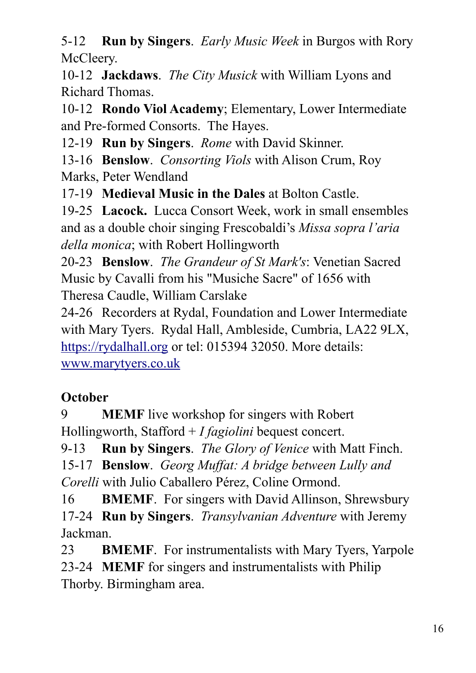5-12 **Run by Singers**. *Early Music Week* in Burgos with Rory McCleery.

10-12 **Jackdaws**. *The City Musick* with William Lyons and Richard Thomas.

10-12 **Rondo Viol Academy**; Elementary, Lower Intermediate and Pre-formed Consorts. The Hayes.

12-19 **Run by Singers**. *Rome* with David Skinner.

13-16 **Benslow**. *Consorting Viols* with Alison Crum, Roy Marks, Peter Wendland

17-19 **Medieval Music in the Dales** at Bolton Castle.

19-25 **Lacock.** Lucca Consort Week, work in small ensembles and as a double choir singing Frescobaldi's *Missa sopra l'aria della monica*; with Robert Hollingworth

20-23 **Benslow**. *The Grandeur of St Mark's*: Venetian Sacred Music by Cavalli from his "Musiche Sacre" of 1656 with Theresa Caudle, William Carslake

24-26 Recorders at Rydal, Foundation and Lower Intermediate with Mary Tyers. Rydal Hall, Ambleside, Cumbria, LA22 9LX, <https://rydalhall.org>or tel: 015394 32050. More details: [www.marytyers.co.uk](http://www.marytyers.co.uk)

## **October**

9 **MEMF** live workshop for singers with Robert Hollingworth, Stafford + *I fagiolini* bequest concert.

9-13 **Run by Singers**. *The Glory of Venice* with Matt Finch. 15-17 **Benslow**. *Georg Muffat: A bridge between Lully and Corelli* with Julio Caballero Pérez, Coline Ormond.

16 **BMEMF**. For singers with David Allinson, Shrewsbury 17-24 **Run by Singers**. *Transylvanian Adventure* with Jeremy Jackman.

23 **BMEMF**. For instrumentalists with Mary Tyers, Yarpole 23-24 **MEMF** for singers and instrumentalists with Philip Thorby. Birmingham area.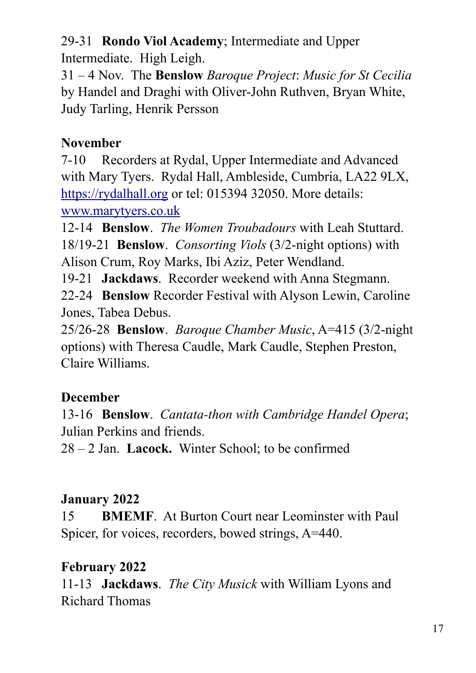29-31 **Rondo Viol Academy**; Intermediate and Upper

Intermediate. High Leigh.

31 – 4 Nov. The **Benslow** *Baroque Project*: *Music for St Cecilia* by Handel and Draghi with Oliver-John Ruthven, Bryan White, Judy Tarling, Henrik Persson

## **November**

7-10 Recorders at Rydal, Upper Intermediate and Advanced with Mary Tyers. Rydal Hall, Ambleside, Cumbria, LA22 9LX, <https://rydalhall.org>or tel: 015394 32050. More details: [www.marytyers.co.uk](http://www.marytyers.co.uk)

12-14 **Benslow**. *The Women Troubadours* with Leah Stuttard. 18/19-21 **Benslow**. *Consorting Viols* (3/2-night options) with Alison Crum, Roy Marks, Ibi Aziz, Peter Wendland.

19-21 **Jackdaws**. Recorder weekend with Anna Stegmann.

22-24 **Benslow** Recorder Festival with Alyson Lewin, Caroline Jones, Tabea Debus.

25/26-28 **Benslow**. *Baroque Chamber Music*, A=415 (3/2-night options) with Theresa Caudle, Mark Caudle, Stephen Preston, Claire Williams.

## **December**

13-16 **Benslow**. *Cantata-thon with Cambridge Handel Opera*; Julian Perkins and friends.

28 – 2 Jan. **Lacock.** Winter School; to be confirmed

## **January 2022**

15 **BMEMF**. At Burton Court near Leominster with Paul Spicer, for voices, recorders, bowed strings, A=440.

## **February 2022**

11-13 **Jackdaws**. *The City Musick* with William Lyons and Richard Thomas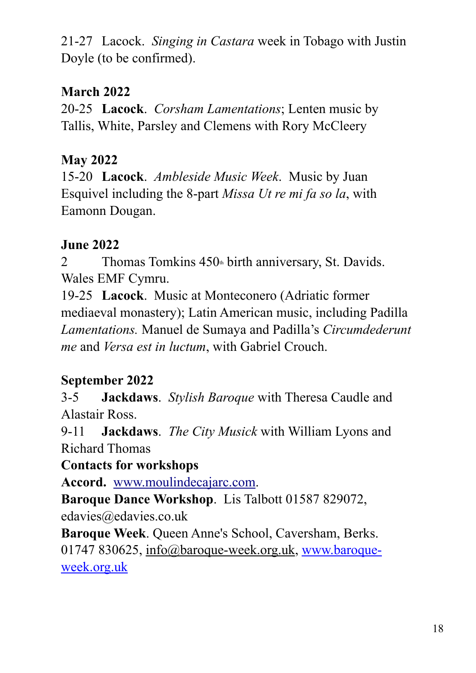21-27 Lacock. *Singing in Castara* week in Tobago with Justin Doyle (to be confirmed).

#### **March 2022**

20-25 **Lacock**. *Corsham Lamentations*; Lenten music by Tallis, White, Parsley and Clemens with Rory McCleery

## **May 2022**

15-20 **Lacock**. *Ambleside Music Week*. Music by Juan Esquivel including the 8-part *Missa Ut re mi fa so la*, with Eamonn Dougan.

## **June 2022**

2 Thomas Tomkins  $450<sub>th</sub>$  birth anniversary, St. Davids. Wales EMF Cymru.

19-25 **Lacock**. Music at Monteconero (Adriatic former mediaeval monastery); Latin American music, including Padilla *Lamentations.* Manuel de Sumaya and Padilla's *Circumdederunt me* and *Versa est in luctum*, with Gabriel Crouch.

## **September 2022**

3-5 **Jackdaws**. *Stylish Baroque* with Theresa Caudle and Alastair Ross.

9-11 **Jackdaws**. *The City Musick* with William Lyons and Richard Thomas

**Contacts for workshops**

**Accord.** [www.moulindecajarc.com](http://www.moulindecajarc.com).

**Baroque Dance Workshop**. Lis Talbott 01587 829072, edavies@edavies.co.uk

**Baroque Week**. Queen Anne's School, Caversham, Berks. 01747 830625, [info@baroque-week.org.uk](mailto:info@baroque-week.org.uk), www.baroqueweek.org.uk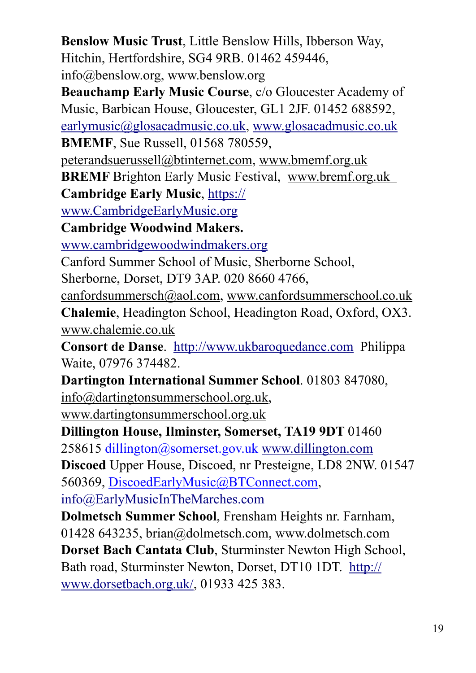**Benslow Music Trust**, Little Benslow Hills, Ibberson Way, Hitchin, Hertfordshire, SG4 9RB. 01462 459446, [info@benslow.org](mailto:info@benslow.org), [www.benslow.org](http://www.benslow.org/)

**Beauchamp Early Music Course**, c/o Gloucester Academy of Music, Barbican House, Gloucester, GL1 2JF. 01452 688592, [earlymusic@glosacadmusic.co.uk,](mailto:earlymusic@glosacadmusic.co.uk) [www.glosacadmusic.co.uk](http://www.glosacadmusic.co.uk) **BMEMF**, Sue Russell, 01568 780559,

peterandsuerussell@btinternet.com, [www.bmemf.org.uk](http://www.bmemf.org.uk/)

**BREMF** Brighton Early Music Festival, [www.bremf.org.uk](http://www.bremf.org.uk/)

**Cambridge Early Music**, [https://](https://www.cambridgeearlymusic.org)

[www.CambridgeEarlyMusic.org](https://www.cambridgeearlymusic.org)

**Cambridge Woodwind Makers.** 

[www.cambridgewoodwindmakers.org](http://www.cambridgewoodwindmakers.org) 

Canford Summer School of Music, Sherborne School,

Sherborne, Dorset, DT9 3AP. 020 8660 4766,

[canfordsummersch@aol.com,](mailto:canfordsummersch@aol.com) [www.canfordsummerschool.co.uk](http://www.canfordsummerschool.co.uk/) **Chalemie**, Headington School, Headington Road, Oxford, OX3. [www.chalemie.co.uk](http://www.chalemie.co.uk/)

**Consort de Danse**. <http://www.ukbaroquedance.com>Philippa Waite, 07976 374482.

**Dartington International Summer School**. 01803 847080, [info@dartingtonsummerschool.org.uk](mailto:info@dartingtonsummerschool.org.uk),

[www.dartingtonsummerschool.org.uk](http://www.dartingtonsummerschool.org.uk/)

**Dillington House, Ilminster, Somerset, TA19 9DT** 01460 258615 dillington@somerset.gov.uk [www.dillington.com](http://www.dillington.com) **Discoed** Upper House, Discoed, nr Presteigne, LD8 2NW. 01547

560369, DiscoedEarlyMusic@BTConnect.com,

[info@EarlyMusicInTheMarches.com](mailto:info@EarlyMusicInTheMarches.com) 

**Dolmetsch Summer School**, Frensham Heights nr. Farnham, 01428 643235, [brian@dolmetsch.com,](mailto:brian@dolmetsch.com) [www.dolmetsch.com](http://www.dolmetsch.com/) **Dorset Bach Cantata Club**, Sturminster Newton High School, Bath road, Sturminster Newton, Dorset, DT10 1DT. [http://](http://www.dorsetbach.org.uk/) [www.dorsetbach.org.uk/](http://www.dorsetbach.org.uk/), 01933 425 383.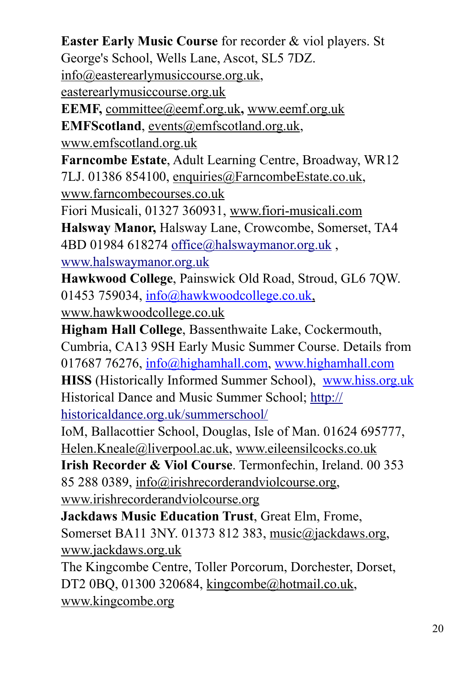**Easter Early Music Course** for recorder & viol players. St

George's School, Wells Lane, Ascot, SL5 7DZ.

[info@easterearlymusiccourse.org.uk](mailto:info@easterearlymusiccourse.org.uk),

[easterearlymusiccourse.org.uk](http://www.easterearlymusiccourse.org.uk/)

**EEMF,** [committee@eemf.org.uk](mailto:%20committee@eemf.org.uk)**,** www.eemf.org.uk

**EMFScotland**, [events@emfscotland.org.uk](mailto:events@emfscotland.org.uk),

[www.emfscotland.org.uk](http://www.emfscotland.org.uk/)

**Farncombe Estate**, Adult Learning Centre, Broadway, WR12 7LJ. 01386 854100, [enquiries@FarncombeEstate.co.uk,](mailto:enquiries@FarncombeEstate.co.uk)

[www.farncombecourses.co.uk](http://www.farncombecourses.co.uk/)

Fiori Musicali, 01327 360931, [www.fiori-musicali.com](http://www.fiori-musicali.com/)

**Halsway Manor,** Halsway Lane, Crowcombe, Somerset, TA4 4BD 01984 618274 office@halswaymanor.org.uk,

[www.halswaymanor.org.uk](http://www.halswaymanor.org.uk)

**Hawkwood College**, Painswick Old Road, Stroud, GL6 7QW. 01453 759034, [info@hawkwoodcollege.co.uk](mailto:info@hawkwoodcollege.co.uk),

[www.hawkwoodcollege.co.uk](http://www.hawkwoodcollege.co.uk/)

**Higham Hall College**, Bassenthwaite Lake, Cockermouth, Cumbria, CA13 9SH Early Music Summer Course. Details from 017687 76276, [info@highamhall.com](mailto:info@highamhall.com), [www.highamhall.com](http://www.highamhall.com/) **HISS** (Historically Informed Summer School), www.hiss.org.uk Historical Dance and Music Summer School; [http://](http://historicaldance.org.uk/summerschool/) [historicaldance.org.uk/summerschool/](http://historicaldance.org.uk/summerschool/)

IoM, Ballacottier School, Douglas, Isle of Man. 01624 695777, [Helen.Kneale@liverpool.ac.uk,](mailto:Helen.Kneale@liverpool.ac.uk) [www.eileensilcocks.co.uk](http://www.eileensilcocks.co.uk/)

**Irish Recorder & Viol Course**. Termonfechin, Ireland. 00 353 85 288 0389, [info@irishrecorderandviolcourse.org,](mailto:info@irishrecorderandviolcourse.org)

[www.irishrecorderandviolcourse.org](http://www.irishrecorderandviolcourse.org/)

**Jackdaws Music Education Trust**, Great Elm, Frome, Somerset BA11 3NY. 01373 812 383, [music@jackdaws.org,](mailto:music@jackdaws.org)

[www.jackdaws.org.uk](http://www.jackdaws.org.uk/)

The Kingcombe Centre, Toller Porcorum, Dorchester, Dorset, DT2 0BQ, 01300 320684, [kingcombe@hotmail.co.uk](mailto:kingcombe@hotmail.co.uk), [www.kingcombe.org](http://www.kingcombe.org/)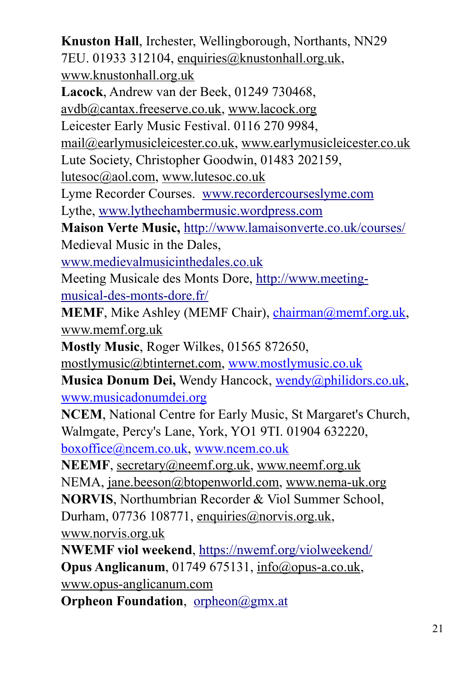**Knuston Hall**, Irchester, Wellingborough, Northants, NN29 7EU. 01933 312104, [enquiries@knustonhall.org.uk,](mailto:enquiries@knustonhall.org.uk) [www.knustonhall.org.uk](http://www.knustonhall.org.uk/) **Lacock**, Andrew van der Beek, 01249 730468, [avdb@cantax.freeserve.co.uk,](mailto:avdb@cantax.freeserve.co.uk) [www.lacock.org](http://www.lacock.org/) Leicester Early Music Festival. 0116 270 9984, [mail@earlymusicleicester.co.uk,](mailto:mail@earlymusicleicester.co.uk) [www.earlymusicleicester.co.uk](http://www.earlymusicleicester.co.uk/) Lute Society, Christopher Goodwin, 01483 202159, [lutesoc@aol.com](mailto:lutesoc@aol.com), [www.lutesoc.co.uk](http://www.lutesoc.co.uk/) Lyme Recorder Courses. [www.recordercourseslyme.com](http://www.recordercourseslyme.com)  Lythe, [www.lythechambermusic.wordpress.com](http://www.lythechambermusic.wordpress.com)  **Maison Verte Music,** <http://www.lamaisonverte.co.uk/courses/> Medieval Music in the Dales, [www.medievalmusicinthedales.co.uk](http://www.medievalmusicinthedales.co.uk)  Meeting Musicale des Monts Dore, [http://www.meeting](http://www.meeting-musical-des-monts-dore.fr/)[musical-des-monts-dore.fr/](http://www.meeting-musical-des-monts-dore.fr/) **MEMF**, Mike Ashley (MEMF Chair), [chairman@memf.org.uk](mailto:chairman@memf.org.uk), [www.memf.org.uk](http://www.memf.org.uk/) **Mostly Music**, Roger Wilkes, 01565 872650, [mostlymusic@btinternet.com](mailto:mostlymusic@btinternet.com), [www.mostlymusic.co.uk](http://www.mostlymusic.co.uk/) **Musica Donum Dei,** Wendy Hancock, wendy@philidors.co.uk, www.musicadonumdei.org **NCEM**, National Centre for Early Music, St Margaret's Church, Walmgate, Percy's Lane, York, YO1 9TI. 01904 632220, boxoffice@ncem.co.uk, www.ncem.co.uk **NEEMF**, [secretary@neemf.org.uk](mailto:secretary@neemf.org.uk), [www.neemf.org.uk](http://www.neemf.org.uk/) NEMA, [jane.beeson@btopenworld.com](mailto:jane.beeson@btopenworld.com), [www.nema-uk.org](http://www.nema-uk.org/) **NORVIS**, Northumbrian Recorder & Viol Summer School, Durham, 07736 108771, [enquiries@norvis.org.uk](mailto:enquiries@norvis.org.uk), [www.norvis.org.uk](http://www.norvis.org.uk/) **NWEMF viol weekend**,<https://nwemf.org/violweekend/> **Opus Anglicanum**, 01749 675131, [info@opus-a.co.uk](mailto:info@opus-a.co.uk), [www.opus-anglicanum.com](http://www.opus-anglicanum.com/)

**Orpheon Foundation**, [orpheon@gmx.at](mailto:orpheon@gmx.at)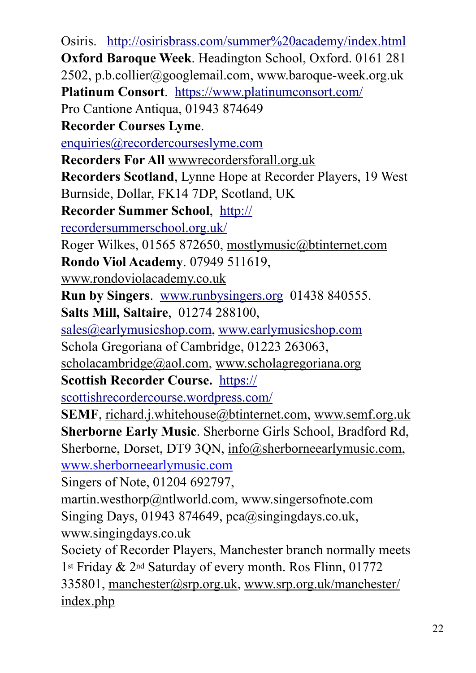Osiris. [http://osirisbrass.com/summer%20academy/index.html](http://osirisbrass.com/summer%2520academy/index.html) **Oxford Baroque Week**. Headington School, Oxford. 0161 281 2502, [p.b.collier@googlemail.com](mailto:p.b.collier@googlemail.com), [www.baroque-week.org.uk](http://www.baroque-week.org.uk/) **Platinum Consort**. <https://www.platinumconsort.com/> Pro Cantione Antiqua, 01943 874649 **Recorder Courses Lyme**. [enquiries@recordercourseslyme.com](mailto:enquiries@recordercourseslyme.com)  **Recorders For All** [wwwrecordersforall.org.uk](http://wwwrecordersforall.org.uk/) **Recorders Scotland**, Lynne Hope at Recorder Players, 19 West Burnside, Dollar, FK14 7DP, Scotland, UK **Recorder Summer School**, [http://](http://recordersummerschool.org.uk/) [recordersummerschool.org.uk/](http://recordersummerschool.org.uk/) Roger Wilkes, 01565 872650, [mostlymusic@btinternet.com](mailto:mostlymusic@btinternet.com) **Rondo Viol Academy**. 07949 511619, www.rondoviolacademy.co.uk **Run by Singers**. [www.runbysingers.org](http://www.runbysingers.org) 01438 840555. **Salts Mill, Saltaire**, 01274 288100, [sales@earlymusicshop.com](mailto:sales@earlymusicshop.com), [www.earlymusicshop.com](http://www.earlymusicshop.com) Schola Gregoriana of Cambridge, 01223 263063, [scholacambridge@aol.com,](mailto:scholacambridge@aol.com) [www.scholagregoriana.org](http://www.scholagregoriana.org/) **Scottish Recorder Course.** [https://](https://scottishrecordercourse.wordpress.com/) [scottishrecordercourse.wordpress.com/](https://scottishrecordercourse.wordpress.com/) **SEMF**, [richard.j.whitehouse@btinternet.com,](mailto:%20richard.j.whitehouse@btinternet.com) www.semf.org.uk **Sherborne Early Music**. Sherborne Girls School, Bradford Rd, Sherborne, Dorset, DT9 3ON, info@sherborneearlymusic.com, www.sherborneearlymusic.com Singers of Note, 01204 692797, [martin.westhorp@ntlworld.com,](mailto:martin.westhorp@ntlworld.com) [www.singersofnote.com](http://www.singersofnote.com/) Singing Days, 01943 874649,  $pca(\hat{\alpha})$ singingdays.co.uk, [www.singingdays.co.uk](http://www.singingdays.co.uk/) Society of Recorder Players, Manchester branch normally meets 1st Friday & 2nd Saturday of every month. Ros Flinn, 01772 335801, [manchester@srp.org.uk](mailto:manchester@srp.org.uk), [www.srp.org.uk/manchester/](http://www.srp.org.uk/manchester/index.php) [index.php](http://www.srp.org.uk/manchester/index.php)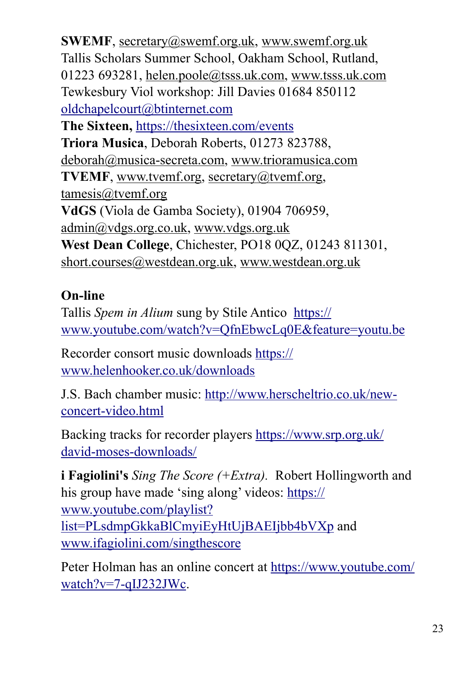**SWEMF**, [secretary@swemf.org.uk](mailto:secretary@swemf.org.uk), www.swemf.org.uk Tallis Scholars Summer School, Oakham School, Rutland, 01223 693281, [helen.poole@tsss.uk.com,](mailto:helen.poole@tsss.uk.com) [www.tsss.uk.com](http://www.tsss.uk.com/) Tewkesbury Viol workshop: Jill Davies 01684 850112 [oldchapelcourt@btinternet.com](mailto:oldchapelcourt@btinternet.com) **The Sixteen,** <https://thesixteen.com/events> **Triora Musica**, Deborah Roberts, 01273 823788, [deborah@musica-secreta.com,](mailto:deborah@musica-secreta.com) [www.trioramusica.com](http://www.trioramusica.com/) **TVEMF**, [www.tvemf.org](http://www.tvemf.org/), [secretary@tvemf.org](mailto:secretary@tvemf.org), [tamesis@tvemf.org](mailto:tamesis@tvemf.org)  **VdGS** (Viola de Gamba Society), 01904 706959, [admin@vdgs.org.co.uk,](mailto:admin@vdgs.org.co.uk) [www.vdgs.org.uk](http://www.vdgs.org.uk/#http://www.vdgs.org.uk) **West Dean College**, Chichester, PO18 0QZ, 01243 811301, [short.courses@westdean.org.uk](mailto:short.courses@westdean.org.uk), [www.westdean.org.uk](http://www.westdean.org.uk/)

#### **On-line**

Tallis *Spem in Alium* sung by Stile Antico [https://](https://www.youtube.com/watch?v=QfnEbwcLq0E&feature=youtu.be) [www.youtube.com/watch?v=QfnEbwcLq0E&feature=youtu.be](https://www.youtube.com/watch?v=QfnEbwcLq0E&feature=youtu.be)

Recorder consort music downloads [https://](https://www.helenhooker.co.uk/downloads) [www.helenhooker.co.uk/downloads](https://www.helenhooker.co.uk/downloads) 

J.S. Bach chamber music: [http://www.herscheltrio.co.uk/new](http://www.herscheltrio.co.uk/new-concert-video.html)[concert-video.html](http://www.herscheltrio.co.uk/new-concert-video.html) 

Backing tracks for recorder players [https://www.srp.org.uk/](https://www.srp.org.uk/david-moses-downloads/) [david-moses-downloads/](https://www.srp.org.uk/david-moses-downloads/) 

**i Fagiolini's** *Sing The Score (+Extra).* Robert Hollingworth and his group have made 'sing along' videos: [https://](https://www.youtube.com/playlist?list=PLsdmpGkkaBlCmyiEyHtUjBAEIjbb4bVXp) [www.youtube.com/playlist?](https://www.youtube.com/playlist?list=PLsdmpGkkaBlCmyiEyHtUjBAEIjbb4bVXp) [list=PLsdmpGkkaBlCmyiEyHtUjBAEIjbb4bVXp](https://www.youtube.com/playlist?list=PLsdmpGkkaBlCmyiEyHtUjBAEIjbb4bVXp) and [www.ifagiolini.com/singthescore](http://www.ifagiolini.com/singthescore)

Peter Holman has an online concert at [https://www.youtube.com/](https://www.youtube.com/watch?v=7-qIJ232JWc) [watch?v=7-qIJ232JWc.](https://www.youtube.com/watch?v=7-qIJ232JWc)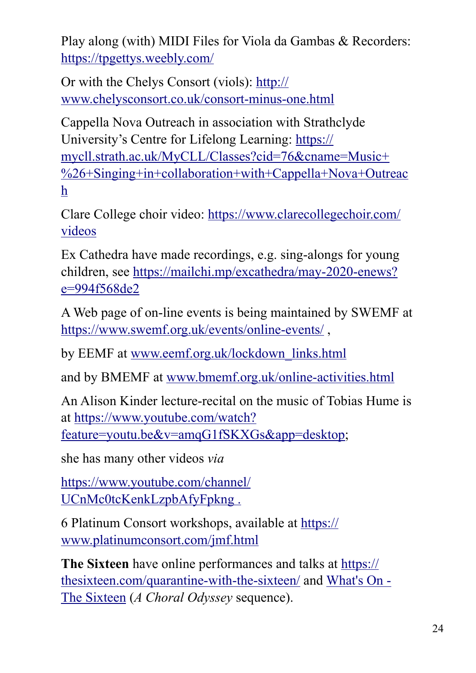Play along (with) MIDI Files for Viola da Gambas & Recorders: <https://tpgettys.weebly.com/>

Or with the Chelys Consort (viols): [http://](http://www.chelysconsort.co.uk/consort-minus-one.html) [www.chelysconsort.co.uk/consort-minus-one.html](http://www.chelysconsort.co.uk/consort-minus-one.html) 

Cappella Nova Outreach in association with Strathclyde University's Centre for Lifelong Learning: [https://](https://mycll.strath.ac.uk/MyCLL/Classes?cid=76&cname=Music+%2526+Singing+in+collaboration+with+Cappella+Nova+Outreach) [mycll.strath.ac.uk/MyCLL/Classes?cid=76&cname=Music+](https://mycll.strath.ac.uk/MyCLL/Classes?cid=76&cname=Music+%2526+Singing+in+collaboration+with+Cappella+Nova+Outreach) [%26+Singing+in+collaboration+with+Cappella+Nova+Outreac](https://mycll.strath.ac.uk/MyCLL/Classes?cid=76&cname=Music+%2526+Singing+in+collaboration+with+Cappella+Nova+Outreach) [h](https://mycll.strath.ac.uk/MyCLL/Classes?cid=76&cname=Music+%2526+Singing+in+collaboration+with+Cappella+Nova+Outreach)

Clare College choir video: [https://www.clarecollegechoir.com/](https://www.clarecollegechoir.com/videos) [videos](https://www.clarecollegechoir.com/videos)

Ex Cathedra have made recordings, e.g. sing-alongs for young children, see [https://mailchi.mp/excathedra/may-2020-enews?](https://mailchi.mp/excathedra/may-2020-enews?e=994f568de2) [e=994f568de2](https://mailchi.mp/excathedra/may-2020-enews?e=994f568de2)

A Web page of on-line events is being maintained by SWEMF at <https://www.swemf.org.uk/events/online-events/>,

by EEMF at [www.eemf.org.uk/lockdown\\_links.html](http://www.eemf.org.uk/lockdown_links.html)

and by BMEMF at [www.bmemf.org.uk/online-activities.html](http://www.bmemf.org.uk/online-activities.html) 

An Alison Kinder lecture-recital on the music of Tobias Hume is at [https://www.youtube.com/watch?](https://www.youtube.com/watch?feature=youtu.be&v=amqG1fSKXGs&app=desktop) [feature=youtu.be&v=amqG1fSKXGs&app=desktop](https://www.youtube.com/watch?feature=youtu.be&v=amqG1fSKXGs&app=desktop);

she has many other videos *via*

[https://www.youtube.com/channel/](https://www.youtube.com/channel/UCnMc0tcKenkLzpbAfyFpkng) [UCnMc0tcKenkLzpbAfyFpkng](https://www.youtube.com/channel/UCnMc0tcKenkLzpbAfyFpkng) .

6 Platinum Consort workshops, available at [https://](https://www.platinumconsort.com/jmf.html) [www.platinumconsort.com/jmf.html](https://www.platinumconsort.com/jmf.html) 

**The Sixteen** have online performances and talks at [https://](https://thesixteen.com/quarantine-with-the-sixteen/) [thesixteen.com/quarantine-with-the-sixteen/](https://thesixteen.com/quarantine-with-the-sixteen/) and [What's On -](https://thesixteen.com/whats-on/)  [The Sixteen](https://thesixteen.com/whats-on/) (*A Choral Odyssey* sequence).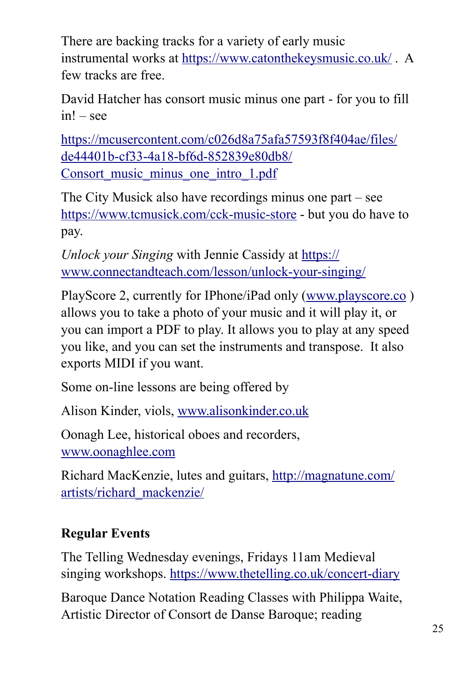There are backing tracks for a variety of early music instrumental works at <https://www.catonthekeysmusic.co.uk/> . A few tracks are free.

David Hatcher has consort music minus one part - for you to fill in! – see

[https://mcusercontent.com/c026d8a75afa57593f8f404ae/files/](https://mcusercontent.com/c026d8a75afa57593f8f404ae/files/de44401b-cf33-4a18-bf6d-852839e80db8/Consort_music_minus_one_intro_1.pdf) [de44401b-cf33-4a18-bf6d-852839e80db8/](https://mcusercontent.com/c026d8a75afa57593f8f404ae/files/de44401b-cf33-4a18-bf6d-852839e80db8/Consort_music_minus_one_intro_1.pdf) Consort music minus one intro 1.pdf

The City Musick also have recordings minus one part – see <https://www.tcmusick.com/cck-music-store> - but you do have to pay.

*Unlock your Singing* with Jennie Cassidy at [https://](https://www.connectandteach.com/lesson/unlock-your-singing/) [www.connectandteach.com/lesson/unlock-your-singing/](https://www.connectandteach.com/lesson/unlock-your-singing/)

PlayScore 2, currently for IPhone/iPad only ([www.playscore.co](http://www.playscore.co) ) allows you to take a photo of your music and it will play it, or you can import a PDF to play. It allows you to play at any speed you like, and you can set the instruments and transpose. It also exports MIDI if you want.

Some on-line lessons are being offered by

Alison Kinder, viols, [www.alisonkinder.co.uk](http://www.alisonkinder.co.uk)

Oonagh Lee, historical oboes and recorders, [www.oonaghlee.com](http://www.oonaghlee.com)

Richard MacKenzie, lutes and guitars, [http://magnatune.com/](http://magnatune.com/artists/richard_mackenzie/) [artists/richard\\_mackenzie/](http://magnatune.com/artists/richard_mackenzie/) 

## **Regular Events**

The Telling Wednesday evenings, Fridays 11am Medieval singing workshops.<https://www.thetelling.co.uk/concert-diary>

Baroque Dance Notation Reading Classes with Philippa Waite, Artistic Director of Consort de Danse Baroque; reading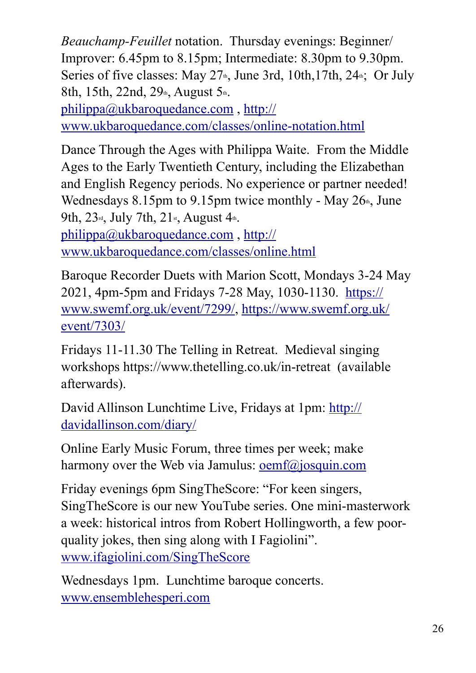*Beauchamp-Feuillet* notation. Thursday evenings: Beginner/ Improver: 6.45pm to 8.15pm; Intermediate: 8.30pm to 9.30pm. Series of five classes: May  $27<sub>th</sub>$ , June 3rd, 10th, 17th, 24 $<sub>th</sub>$ ; Or July</sub> 8th, 15th, 22nd, 29<sup>th</sup>, August 5<sup>th</sup>.

[philippa@ukbaroquedance.com](mailto:philippa@ukbaroquedance.com) , [http://](http://www.ukbaroquedance.com/classes/online-notation.html) [www.ukbaroquedance.com/classes/online-notation.html](http://www.ukbaroquedance.com/classes/online-notation.html) 

Dance Through the Ages with Philippa Waite. From the Middle Ages to the Early Twentieth Century, including the Elizabethan and English Regency periods. No experience or partner needed! Wednesdays 8.15pm to 9.15pm twice monthly - May  $26<sup>th</sup>$ , June 9th, 23<sup>rd</sup>, July 7th, 21<sup>st</sup>, August 4<sup>th</sup>.

[philippa@ukbaroquedance.com](mailto:philippa@ukbaroquedance.com) , [http://](http://www.ukbaroquedance.com/classes/online.html) [www.ukbaroquedance.com/classes/online.html](http://www.ukbaroquedance.com/classes/online.html) 

Baroque Recorder Duets with Marion Scott, Mondays 3-24 May 2021, 4pm-5pm and Fridays 7-28 May, 1030-1130. [https://](https://www.swemf.org.uk/event/7299/) [www.swemf.org.uk/event/7299/,](https://www.swemf.org.uk/event/7299/) [https://www.swemf.org.uk/](https://www.swemf.org.uk/event/7303/) [event/7303/](https://www.swemf.org.uk/event/7303/) 

Fridays 11-11.30 The Telling in Retreat. Medieval singing workshops https://www.thetelling.co.uk/in-retreat (available afterwards).

David Allinson Lunchtime Live, Fridays at 1pm: [http://](http://davidallinson.com/diary/) [davidallinson.com/diary/](http://davidallinson.com/diary/) 

Online Early Music Forum, three times per week; make harmony over the Web via Jamulus: [oemf@josquin.com](mailto:oemf@josquin.com)

Friday evenings 6pm SingTheScore: "For keen singers, SingTheScore is our new YouTube series. One mini-masterwork a week: historical intros from Robert Hollingworth, a few poorquality jokes, then sing along with I Fagiolini". [www.ifagiolini.com/SingTheScore](http://www.ifagiolini.com/SingTheScore)

Wednesdays 1pm. Lunchtime baroque concerts. [www.ensemblehesperi.com](http://www.ensemblehesperi.com)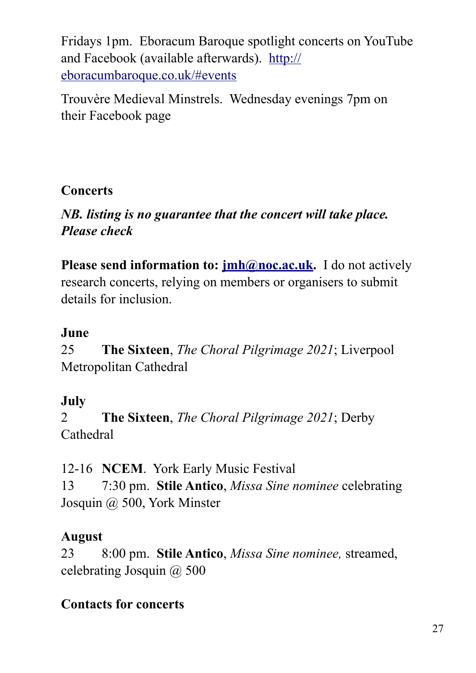Fridays 1pm. Eboracum Baroque spotlight concerts on YouTube and Facebook (available afterwards). [http://](http://eboracumbaroque.co.uk/#events) [eboracumbaroque.co.uk/#events](http://eboracumbaroque.co.uk/#events)

Trouvère Medieval Minstrels. Wednesday evenings 7pm on their Facebook page

#### **Concerts**

#### *NB. listing is no guarantee that the concert will take place. Please check*

**Please send information to: <b>[jmh@noc.ac.uk](mailto:jmh@noc.ac.uk)**. I do not actively research concerts, relying on members or organisers to submit details for inclusion.

## **June**

25 **The Sixteen**, *The Choral Pilgrimage 2021*; Liverpool Metropolitan Cathedral

## **July**

2 **The Sixteen**, *The Choral Pilgrimage 2021*; Derby Cathedral

12-16 **NCEM**. York Early Music Festival 13 7:30 pm. **Stile Antico**, *Missa Sine nominee* celebrating Josquin @ 500, York Minster

## **August**

23 8:00 pm. **Stile Antico**, *Missa Sine nominee,* streamed, celebrating Josquin @ 500

## **Contacts for concerts**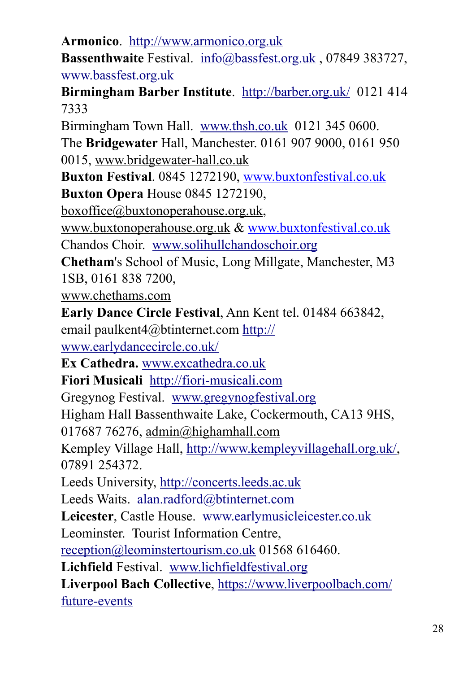**Armonico**. <http://www.armonico.org.uk> **Bassenthwaite** Festival. [info@bassfest.org.uk](mailto:info@bassfest.org.uk) , 07849 383727, [www.bassfest.org.uk](http://www.bassfest.org.uk)  **Birmingham Barber Institute**. <http://barber.org.uk/>0121 414 7333 Birmingham Town Hall. [www.thsh.co.uk](http://www.thsh.co.uk) 0121 345 0600. The **Bridgewater** Hall, Manchester. 0161 907 9000, 0161 950 0015, [www.bridgewater-hall.co.uk](http://www.bridgewater-hall.co.uk/) **Buxton Festival**. 0845 1272190, www.buxtonfestival.co.uk **Buxton Opera** House 0845 1272190, [boxoffice@buxtonoperahouse.org.uk,](mailto:boxoffice@buxtonoperahouse.org.uk) [www.buxtonoperahouse.org.uk](http://www.buxtonoperahouse.org.uk/) & www.buxtonfestival.co.uk Chandos Choir. [www.solihullchandoschoir.org](http://www.solihullchandoschoir.org)  **Chetham**'s School of Music, Long Millgate, Manchester, M3 1SB, 0161 838 7200, [www.chethams.com](http://www.chethams.com/) **Early Dance Circle Festival**, Ann Kent tel. 01484 663842, email paulkent4@btinternet.com [http://](http://www.earlydancecircle.co.uk/) [www.earlydancecircle.co.uk/](http://www.earlydancecircle.co.uk/) **Ex Cathedra.** [www.excathedra.co.uk](http://www.excathedra.co.uk) **Fiori Musicali** <http://fiori-musicali.com> Gregynog Festival. [www.gregynogfestival.org](http://www.gregynogfestival.org)  Higham Hall Bassenthwaite Lake, Cockermouth, CA13 9HS, 017687 76276, [admin@highamhall.com](mailto:admin@highamhall.com)  Kempley Village Hall,<http://www.kempleyvillagehall.org.uk/>, 07891 254372. Leeds University, <http://concerts.leeds.ac.uk> Leeds Waits. [alan.radford@btinternet.com](mailto:alan.radford@btinternet.com) **Leicester**, Castle House. [www.earlymusicleicester.co.uk](http://www.earlymusicleicester.co.uk) Leominster. Tourist Information Centre, [reception@leominstertourism.co.uk](mailto:reception@leominstertourism.co.uk) 01568 616460. **Lichfield** Festival. [www.lichfieldfestival.org](http://www.lichfieldfestival.org) **Liverpool Bach Collective**, [https://www.liverpoolbach.com/](https://www.liverpoolbach.com/future-events) [future-events](https://www.liverpoolbach.com/future-events)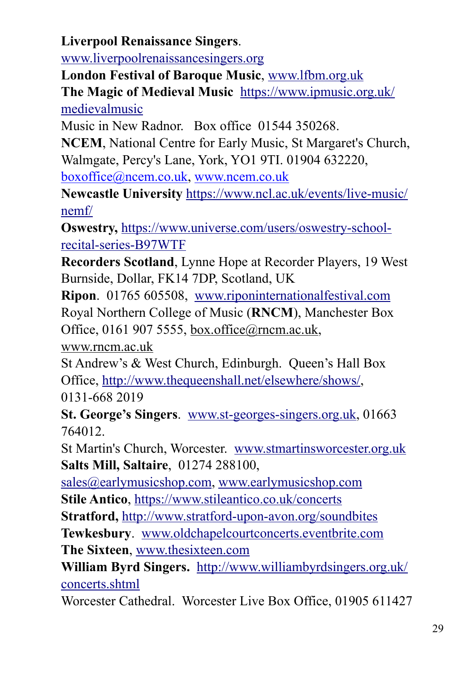**Liverpool Renaissance Singers**.

[www.liverpoolrenaissancesingers.org](http://www.liverpoolrenaissancesingers.org) 

**London Festival of Baroque Music**, [www.lfbm.org.uk](http://www.lfbm.org.uk)  **The Magic of Medieval Music** [https://www.ipmusic.org.uk/](https://www.ipmusic.org.uk/medievalmusic) [medievalmusic](https://www.ipmusic.org.uk/medievalmusic) 

Music in New Radnor. Box office 01544 350268.

**NCEM**, National Centre for Early Music, St Margaret's Church, Walmgate, Percy's Lane, York, YO1 9TI. 01904 632220,

boxoffice@ncem.co.uk, www.ncem.co.uk

**Newcastle University** [https://www.ncl.ac.uk/events/live-music/](https://www.ncl.ac.uk/events/live-music/nemf/) [nemf/](https://www.ncl.ac.uk/events/live-music/nemf/) 

**Oswestry,** [https://www.universe.com/users/oswestry-school](https://www.universe.com/users/oswestry-school-recital-series-B97WTF)[recital-series-B97WTF](https://www.universe.com/users/oswestry-school-recital-series-B97WTF) 

**Recorders Scotland**, Lynne Hope at Recorder Players, 19 West Burnside, Dollar, FK14 7DP, Scotland, UK

**Ripon**. 01765 605508, [www.riponinternationalfestival.com](http://www.riponinternationalfestival.com)  Royal Northern College of Music (**RNCM**), Manchester Box Office, 0161 907 5555, [box.office@rncm.ac.uk,](mailto:box.office@rncm.ac.uk)

[www.rncm.ac.uk](http://www.rncm.ac.uk/)

St Andrew's & West Church, Edinburgh. Queen's Hall Box Office, [http://www.thequeenshall.net/elsewhere/shows/,](http://www.thequeenshall.net/elsewhere/shows/) 0131-668 2019

**St. George's Singers**. [www.st-georges-singers.org.uk](http://www.st-georges-singers.org.uk), 01663 764012.

St Martin's Church, Worcester. [www.stmartinsworcester.org.uk](http://www.stmartinsworcester.org.uk) **Salts Mill, Saltaire**, 01274 288100,

[sales@earlymusicshop.com](mailto:sales@earlymusicshop.com), [www.earlymusicshop.com](http://www.earlymusicshop.com)  **Stile Antico**, <https://www.stileantico.co.uk/concerts>

**Stratford,** <http://www.stratford-upon-avon.org/soundbites>

**Tewkesbury**. [www.oldchapelcourtconcerts.eventbrite.com](http://www.oldchapelcourtconcerts.eventbrite.com) **The Sixteen**, [www.thesixteen.com](http://www.thesixteen.com)

**William Byrd Singers.** [http://www.williambyrdsingers.org.uk/](http://www.williambyrdsingers.org.uk/concerts.shtml) [concerts.shtml](http://www.williambyrdsingers.org.uk/concerts.shtml) 

Worcester Cathedral. Worcester Live Box Office, 01905 611427